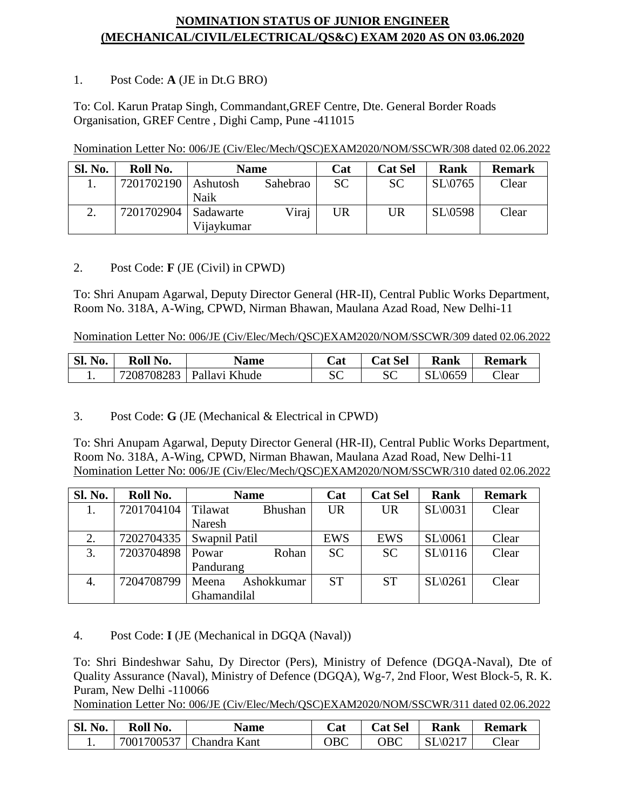## **NOMINATION STATUS OF JUNIOR ENGINEER (MECHANICAL/CIVIL/ELECTRICAL/QS&C) EXAM 2020 AS ON 03.06.2020**

## 1. Post Code: **A** (JE in Dt.G BRO)

To: Col. Karun Pratap Singh, Commandant,GREF Centre, Dte. General Border Roads Organisation, GREF Centre , Dighi Camp, Pune -411015

| <b>Sl. No.</b> | Roll No.   | <b>Name</b> |          | Cat       | <b>Cat Sel</b> | <b>Rank</b>        | <b>Remark</b> |
|----------------|------------|-------------|----------|-----------|----------------|--------------------|---------------|
|                | 7201702190 | Ashutosh    | Sahebrao | <b>SC</b> | <b>SC</b>      | $SL\backslash0765$ | Clear         |
|                |            | Naik        |          |           |                |                    |               |
|                | 7201702904 | Sadawarte   | Viraj    | UR        | UR             | SL(0598)           | Clear         |
|                |            | Vijaykumar  |          |           |                |                    |               |

## 2. Post Code: **F** (JE (Civil) in CPWD)

To: Shri Anupam Agarwal, Deputy Director General (HR-II), Central Public Works Department, Room No. 318A, A-Wing, CPWD, Nirman Bhawan, Maulana Azad Road, New Delhi-11

Nomination Letter No: 006/JE (Civ/Elec/Mech/QSC)EXAM2020/NOM/SSCWR/309 dated 02.06.2022

| Sl. No. | Roll No.   | <b>Name</b>   | <br>Lat | <b>Cat Sel</b> | <b>Rank</b> | <b>Remark</b> |
|---------|------------|---------------|---------|----------------|-------------|---------------|
|         | 7208708283 | Pallavi Khude | SC      | cσ<br>بال      | SL\0659     | $\Gamma$ lear |

3. Post Code: **G** (JE (Mechanical & Electrical in CPWD)

To: Shri Anupam Agarwal, Deputy Director General (HR-II), Central Public Works Department, Room No. 318A, A-Wing, CPWD, Nirman Bhawan, Maulana Azad Road, New Delhi-11 Nomination Letter No: 006/JE (Civ/Elec/Mech/QSC)EXAM2020/NOM/SSCWR/310 dated 02.06.2022

| Sl. No. | Roll No.   | <b>Name</b>               | Cat        | <b>Cat Sel</b> | Rank                | <b>Remark</b> |
|---------|------------|---------------------------|------------|----------------|---------------------|---------------|
|         | 7201704104 | Tilawat<br><b>Bhushan</b> | <b>UR</b>  | <b>UR</b>      | $SL\backslash 0031$ | Clear         |
|         |            | Naresh                    |            |                |                     |               |
| 2.      | 7202704335 | Swapnil Patil             | <b>EWS</b> | EWS            | $SL \setminus 0061$ | Clear         |
| 3.      | 7203704898 | Rohan<br>Powar            | <b>SC</b>  | <b>SC</b>      | SL(0116)            | Clear         |
|         |            | Pandurang                 |            |                |                     |               |
| 4.      | 7204708799 | Ashokkumar<br>Meena       | <b>ST</b>  | <b>ST</b>      | SL(0261)            | Clear         |
|         |            | Ghamandilal               |            |                |                     |               |

4. Post Code: **I** (JE (Mechanical in DGQA (Naval))

To: Shri Bindeshwar Sahu, Dy Director (Pers), Ministry of Defence (DGQA-Naval), Dte of Quality Assurance (Naval), Ministry of Defence (DGQA), Wg-7, 2nd Floor, West Block-5, R. K. Puram, New Delhi -110066

Nomination Letter No: 006/JE (Civ/Elec/Mech/QSC)EXAM2020/NOM/SSCWR/311 dated 02.06.2022

| $SL_1$<br>No. | Roll No.   | <b>Name</b>  | Cat | <b>Cat Sel</b> | <b>Rank</b> | <b>Remark</b>     |
|---------------|------------|--------------|-----|----------------|-------------|-------------------|
|               | 7001700537 | Chandra Kant | ЭBC | ${\rm DBC}$    | SL(0217)    | $\mathbb{C}$ lear |